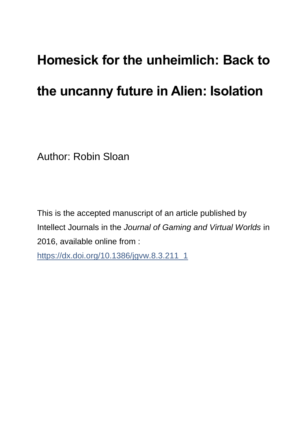# **Homesick for the unheimlich: Back to the uncanny future in Alien: Isolation**

Author: Robin Sloan

This is the accepted manuscript of an article published by Intellect Journals in the *Journal of Gaming and Virtual Worlds* in 2016, available online from :

[https://dx.doi.org/10.1386/jgvw.8.3.211\\_1](https://dx.doi.org/10.1386/jgvw.8.3.211_1)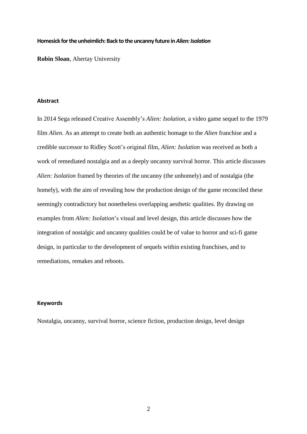#### **Homesick for the unheimlich: Back to the uncanny future in** *Alien: Isolation*

**Robin Sloan**, Abertay University

# **Abstract**

In 2014 Sega released Creative Assembly's *Alien: Isolation*, a video game sequel to the 1979 film *Alien*. As an attempt to create both an authentic homage to the *Alien* franchise and a credible successor to Ridley Scott's original film, *Alien: Isolation* was received as both a work of remediated nostalgia and as a deeply uncanny survival horror. This article discusses *Alien: Isolation* framed by theories of the uncanny (the unhomely) and of nostalgia (the homely), with the aim of revealing how the production design of the game reconciled these seemingly contradictory but nonetheless overlapping aesthetic qualities. By drawing on examples from *Alien: Isolation*'s visual and level design, this article discusses how the integration of nostalgic and uncanny qualities could be of value to horror and sci-fi game design, in particular to the development of sequels within existing franchises, and to remediations, remakes and reboots.

# **Keywords**

Nostalgia, uncanny, survival horror, science fiction, production design, level design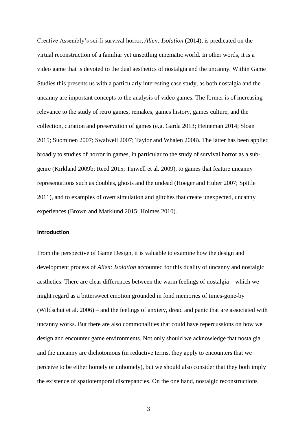Creative Assembly's sci-fi survival horror, *Alien: Isolation* (2014), is predicated on the virtual reconstruction of a familiar yet unsettling cinematic world. In other words, it is a video game that is devoted to the dual aesthetics of nostalgia and the uncanny. Within Game Studies this presents us with a particularly interesting case study, as both nostalgia and the uncanny are important concepts to the analysis of video games. The former is of increasing relevance to the study of retro games, remakes, games history, games culture, and the collection, curation and preservation of games (e.g. Garda 2013; Heineman 2014; Sloan 2015; Suominen 2007; Swalwell 2007; Taylor and Whalen 2008). The latter has been applied broadly to studies of horror in games, in particular to the study of survival horror as a subgenre (Kirkland 2009b; Reed 2015; Tinwell et al. 2009), to games that feature uncanny representations such as doubles, ghosts and the undead (Hoeger and Huber 2007; Spittle 2011), and to examples of overt simulation and glitches that create unexpected, uncanny experiences (Brown and Marklund 2015; Holmes 2010).

#### **Introduction**

From the perspective of Game Design, it is valuable to examine how the design and development process of *Alien: Isolation* accounted for this duality of uncanny and nostalgic aesthetics. There are clear differences between the warm feelings of nostalgia – which we might regard as a bittersweet emotion grounded in fond memories of times-gone-by (Wildschut et al. 2006) – and the feelings of anxiety, dread and panic that are associated with uncanny works. But there are also commonalities that could have repercussions on how we design and encounter game environments. Not only should we acknowledge that nostalgia and the uncanny are dichotomous (in reductive terms, they apply to encounters that we perceive to be either homely or unhomely), but we should also consider that they both imply the existence of spatiotemporal discrepancies. On the one hand, nostalgic reconstructions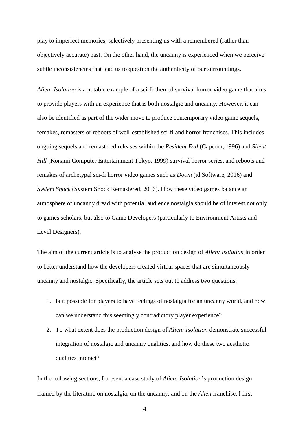play to imperfect memories, selectively presenting us with a remembered (rather than objectively accurate) past. On the other hand, the uncanny is experienced when we perceive subtle inconsistencies that lead us to question the authenticity of our surroundings.

*Alien: Isolation* is a notable example of a sci-fi-themed survival horror video game that aims to provide players with an experience that is both nostalgic and uncanny. However, it can also be identified as part of the wider move to produce contemporary video game sequels, remakes, remasters or reboots of well-established sci-fi and horror franchises. This includes ongoing sequels and remastered releases within the *Resident Evil* (Capcom, 1996) and *Silent Hill* (Konami Computer Entertainment Tokyo, 1999) survival horror series, and reboots and remakes of archetypal sci-fi horror video games such as *Doom* (id Software, 2016) and *System Shock* (System Shock Remastered, 2016). How these video games balance an atmosphere of uncanny dread with potential audience nostalgia should be of interest not only to games scholars, but also to Game Developers (particularly to Environment Artists and Level Designers).

The aim of the current article is to analyse the production design of *Alien: Isolation* in order to better understand how the developers created virtual spaces that are simultaneously uncanny and nostalgic. Specifically, the article sets out to address two questions:

- 1. Is it possible for players to have feelings of nostalgia for an uncanny world, and how can we understand this seemingly contradictory player experience?
- 2. To what extent does the production design of *Alien: Isolation* demonstrate successful integration of nostalgic and uncanny qualities, and how do these two aesthetic qualities interact?

In the following sections, I present a case study of *Alien: Isolation*'s production design framed by the literature on nostalgia, on the uncanny, and on the *Alien* franchise. I first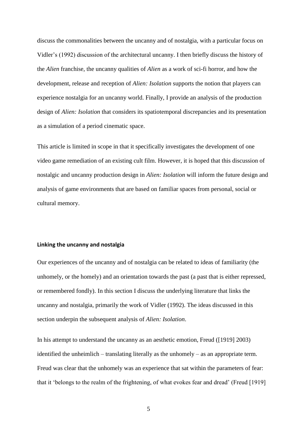discuss the commonalities between the uncanny and of nostalgia, with a particular focus on Vidler's (1992) discussion of the architectural uncanny. I then briefly discuss the history of the *Alien* franchise, the uncanny qualities of *Alien* as a work of sci-fi horror, and how the development, release and reception of *Alien: Isolation* supports the notion that players can experience nostalgia for an uncanny world. Finally, I provide an analysis of the production design of *Alien: Isolation* that considers its spatiotemporal discrepancies and its presentation as a simulation of a period cinematic space.

This article is limited in scope in that it specifically investigates the development of one video game remediation of an existing cult film. However, it is hoped that this discussion of nostalgic and uncanny production design in *Alien: Isolation* will inform the future design and analysis of game environments that are based on familiar spaces from personal, social or cultural memory.

#### **Linking the uncanny and nostalgia**

Our experiences of the uncanny and of nostalgia can be related to ideas of familiarity (the unhomely, or the homely) and an orientation towards the past (a past that is either repressed, or remembered fondly). In this section I discuss the underlying literature that links the uncanny and nostalgia, primarily the work of Vidler (1992). The ideas discussed in this section underpin the subsequent analysis of *Alien: Isolation*.

In his attempt to understand the uncanny as an aesthetic emotion, Freud ([1919] 2003) identified the unheimlich – translating literally as the unhomely – as an appropriate term. Freud was clear that the unhomely was an experience that sat within the parameters of fear: that it 'belongs to the realm of the frightening, of what evokes fear and dread' (Freud [1919]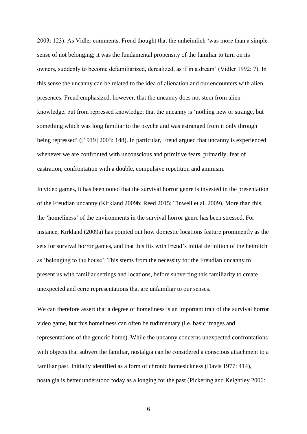2003: 123). As Vidler comments, Freud thought that the unheimlich 'was more than a simple sense of not belonging; it was the fundamental propensity of the familiar to turn on its owners, suddenly to become defamiliarized, derealized, as if in a dream' (Vidler 1992: 7). In this sense the uncanny can be related to the idea of alienation and our encounters with alien presences. Freud emphasized, however, that the uncanny does not stem from alien knowledge, but from repressed knowledge: that the uncanny is 'nothing new or strange, but something which was long familiar to the psyche and was estranged from it only through being repressed' ([1919] 2003: 148). In particular, Freud argued that uncanny is experienced whenever we are confronted with unconscious and primitive fears, primarily; fear of castration, confrontation with a double, compulsive repetition and animism.

In video games, it has been noted that the survival horror genre is invested in the presentation of the Freudian uncanny (Kirkland 2009b; Reed 2015; Tinwell et al. 2009). More than this, the 'homeliness' of the environments in the survival horror genre has been stressed. For instance, Kirkland (2009a) has pointed out how domestic locations feature prominently as the sets for survival horror games, and that this fits with Freud's initial definition of the heimlich as 'belonging to the house'. This stems from the necessity for the Freudian uncanny to present us with familiar settings and locations, before subverting this familiarity to create unexpected and eerie representations that are unfamiliar to our senses.

We can therefore assert that a degree of homeliness is an important trait of the survival horror video game, but this homeliness can often be rudimentary (i.e. basic images and representations of the generic home). While the uncanny concerns unexpected confrontations with objects that subvert the familiar, nostalgia can be considered a conscious attachment to a familiar past. Initially identified as a form of chronic homesickness (Davis 1977: 414), nostalgia is better understood today as a longing for the past (Pickering and Keightley 2006: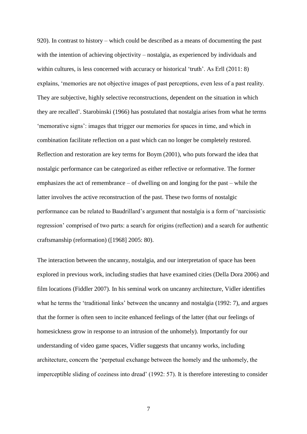920). In contrast to history – which could be described as a means of documenting the past with the intention of achieving objectivity – nostalgia, as experienced by individuals and within cultures, is less concerned with accuracy or historical 'truth'. As Erll (2011: 8) explains, 'memories are not objective images of past perceptions, even less of a past reality. They are subjective, highly selective reconstructions, dependent on the situation in which they are recalled'. Starobinski (1966) has postulated that nostalgia arises from what he terms 'memorative signs': images that trigger our memories for spaces in time, and which in combination facilitate reflection on a past which can no longer be completely restored. Reflection and restoration are key terms for Boym (2001), who puts forward the idea that nostalgic performance can be categorized as either reflective or reformative. The former emphasizes the act of remembrance – of dwelling on and longing for the past – while the latter involves the active reconstruction of the past. These two forms of nostalgic performance can be related to Baudrillard's argument that nostalgia is a form of 'narcissistic regression' comprised of two parts: a search for origins (reflection) and a search for authentic craftsmanship (reformation) ([1968] 2005: 80).

The interaction between the uncanny, nostalgia, and our interpretation of space has been explored in previous work, including studies that have examined cities (Della Dora 2006) and film locations (Fiddler 2007). In his seminal work on uncanny architecture, Vidler identifies what he terms the 'traditional links' between the uncanny and nostalgia (1992: 7), and argues that the former is often seen to incite enhanced feelings of the latter (that our feelings of homesickness grow in response to an intrusion of the unhomely). Importantly for our understanding of video game spaces, Vidler suggests that uncanny works, including architecture, concern the 'perpetual exchange between the homely and the unhomely, the imperceptible sliding of coziness into dread' (1992: 57). It is therefore interesting to consider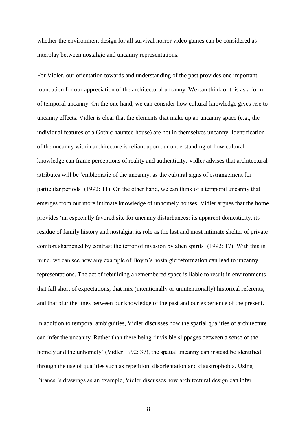whether the environment design for all survival horror video games can be considered as interplay between nostalgic and uncanny representations.

For Vidler, our orientation towards and understanding of the past provides one important foundation for our appreciation of the architectural uncanny. We can think of this as a form of temporal uncanny. On the one hand, we can consider how cultural knowledge gives rise to uncanny effects. Vidler is clear that the elements that make up an uncanny space (e.g., the individual features of a Gothic haunted house) are not in themselves uncanny. Identification of the uncanny within architecture is reliant upon our understanding of how cultural knowledge can frame perceptions of reality and authenticity. Vidler advises that architectural attributes will be 'emblematic of the uncanny, as the cultural signs of estrangement for particular periods' (1992: 11). On the other hand, we can think of a temporal uncanny that emerges from our more intimate knowledge of unhomely houses. Vidler argues that the home provides 'an especially favored site for uncanny disturbances: its apparent domesticity, its residue of family history and nostalgia, its role as the last and most intimate shelter of private comfort sharpened by contrast the terror of invasion by alien spirits' (1992: 17). With this in mind, we can see how any example of Boym's nostalgic reformation can lead to uncanny representations. The act of rebuilding a remembered space is liable to result in environments that fall short of expectations, that mix (intentionally or unintentionally) historical referents, and that blur the lines between our knowledge of the past and our experience of the present.

In addition to temporal ambiguities, Vidler discusses how the spatial qualities of architecture can infer the uncanny. Rather than there being 'invisible slippages between a sense of the homely and the unhomely' (Vidler 1992: 37), the spatial uncanny can instead be identified through the use of qualities such as repetition, disorientation and claustrophobia. Using Piranesi's drawings as an example, Vidler discusses how architectural design can infer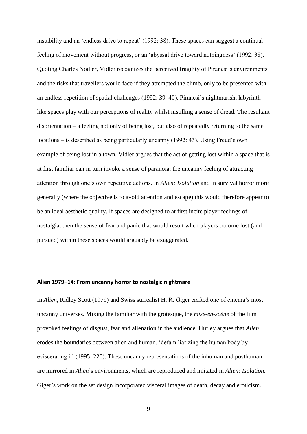instability and an 'endless drive to repeat' (1992: 38). These spaces can suggest a continual feeling of movement without progress, or an 'abyssal drive toward nothingness' (1992: 38). Quoting Charles Nodier, Vidler recognizes the perceived fragility of Piranesi's environments and the risks that travellers would face if they attempted the climb, only to be presented with an endless repetition of spatial challenges (1992: 39–40). Piranesi's nightmarish, labyrinthlike spaces play with our perceptions of reality whilst instilling a sense of dread. The resultant disorientation – a feeling not only of being lost, but also of repeatedly returning to the same locations – is described as being particularly uncanny (1992: 43). Using Freud's own example of being lost in a town, Vidler argues that the act of getting lost within a space that is at first familiar can in turn invoke a sense of paranoia: the uncanny feeling of attracting attention through one's own repetitive actions. In *Alien: Isolation* and in survival horror more generally (where the objective is to avoid attention and escape) this would therefore appear to be an ideal aesthetic quality. If spaces are designed to at first incite player feelings of nostalgia, then the sense of fear and panic that would result when players become lost (and pursued) within these spaces would arguably be exaggerated.

#### **Alien 1979–14: From uncanny horror to nostalgic nightmare**

In *Alien*, Ridley Scott (1979) and Swiss surrealist H. R. Giger crafted one of cinema's most uncanny universes. Mixing the familiar with the grotesque, the *mise-en-scène* of the film provoked feelings of disgust, fear and alienation in the audience. Hurley argues that *Alien* erodes the boundaries between alien and human, 'defamiliarizing the human body by eviscerating it' (1995: 220). These uncanny representations of the inhuman and posthuman are mirrored in *Alien*'s environments, which are reproduced and imitated in *Alien: Isolation*. Giger's work on the set design incorporated visceral images of death, decay and eroticism.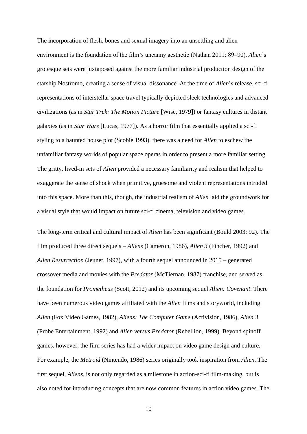The incorporation of flesh, bones and sexual imagery into an unsettling and alien environment is the foundation of the film's uncanny aesthetic (Nathan 2011: 89–90). *Alien*'s grotesque sets were juxtaposed against the more familiar industrial production design of the starship Nostromo, creating a sense of visual dissonance. At the time of *Alien*'s release, sci-fi representations of interstellar space travel typically depicted sleek technologies and advanced civilizations (as in *Star Trek: The Motion Picture* [Wise, 1979]) or fantasy cultures in distant galaxies (as in *Star Wars* [Lucas, 1977]). As a horror film that essentially applied a sci-fi styling to a haunted house plot (Scobie 1993), there was a need for *Alien* to eschew the unfamiliar fantasy worlds of popular space operas in order to present a more familiar setting. The gritty, lived-in sets of *Alien* provided a necessary familiarity and realism that helped to exaggerate the sense of shock when primitive, gruesome and violent representations intruded into this space. More than this, though, the industrial realism of *Alien* laid the groundwork for a visual style that would impact on future sci-fi cinema, television and video games.

The long-term critical and cultural impact of *Alien* has been significant (Bould 2003: 92). The film produced three direct sequels – *Aliens* (Cameron, 1986), *Alien 3* (Fincher, 1992) and *Alien Resurrection* (Jeunet, 1997), with a fourth sequel announced in 2015 – generated crossover media and movies with the *Predator* (McTiernan, 1987) franchise, and served as the foundation for *Prometheus* (Scott, 2012) and its upcoming sequel *Alien: Covenant*. There have been numerous video games affiliated with the *Alien* films and storyworld, including *Alien* (Fox Video Games, 1982), *Aliens: The Computer Game* (Activision, 1986), *Alien 3* (Probe Entertainment, 1992) and *Alien versus Predator* (Rebellion, 1999). Beyond spinoff games, however, the film series has had a wider impact on video game design and culture. For example, the *Metroid* (Nintendo, 1986) series originally took inspiration from *Alien*. The first sequel, *Aliens*, is not only regarded as a milestone in action-sci-fi film-making, but is also noted for introducing concepts that are now common features in action video games. The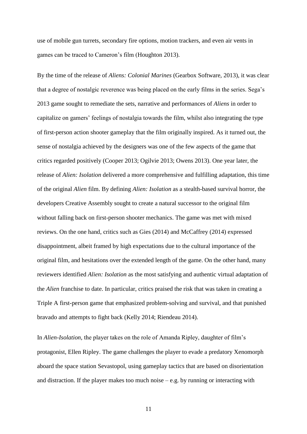use of mobile gun turrets, secondary fire options, motion trackers, and even air vents in games can be traced to Cameron's film (Houghton 2013).

By the time of the release of *Aliens: Colonial Marines* (Gearbox Software, 2013), it was clear that a degree of nostalgic reverence was being placed on the early films in the series. Sega's 2013 game sought to remediate the sets, narrative and performances of *Aliens* in order to capitalize on gamers' feelings of nostalgia towards the film, whilst also integrating the type of first-person action shooter gameplay that the film originally inspired. As it turned out, the sense of nostalgia achieved by the designers was one of the few aspects of the game that critics regarded positively (Cooper 2013; Ogilvie 2013; Owens 2013). One year later, the release of *Alien: Isolation* delivered a more comprehensive and fulfilling adaptation, this time of the original *Alien* film. By defining *Alien: Isolation* as a stealth-based survival horror, the developers Creative Assembly sought to create a natural successor to the original film without falling back on first-person shooter mechanics. The game was met with mixed reviews. On the one hand, critics such as Gies (2014) and McCaffrey (2014) expressed disappointment, albeit framed by high expectations due to the cultural importance of the original film, and hesitations over the extended length of the game. On the other hand, many reviewers identified *Alien: Isolation* as the most satisfying and authentic virtual adaptation of the *Alien* franchise to date. In particular, critics praised the risk that was taken in creating a Triple A first-person game that emphasized problem-solving and survival, and that punished bravado and attempts to fight back (Kelly 2014; Riendeau 2014).

In *Alien-Isolation*, the player takes on the role of Amanda Ripley, daughter of film's protagonist, Ellen Ripley. The game challenges the player to evade a predatory Xenomorph aboard the space station Sevastopol, using gameplay tactics that are based on disorientation and distraction. If the player makes too much noise  $-e.g.$  by running or interacting with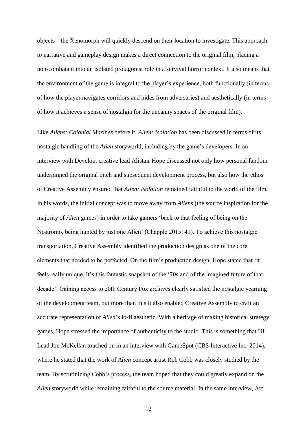objects – the Xenomorph will quickly descend on their location to investigate. This approach to narrative and gameplay design makes a direct connection to the original film, placing a non-combatant into an isolated protagonist role in a survival horror context. It also means that the environment of the game is integral to the player's experience, both functionally (in terms of how the player navigates corridors and hides from adversaries) and aesthetically (in terms of how it achieves a sense of nostalgia for the uncanny spaces of the original film).

Like *Aliens: Colonial Marines* before it, *Alien: Isolation* has been discussed in terms of its nostalgic handling of the *Alien* storyworld, including by the game's developers. In an interview with Develop, creative lead Alistair Hope discussed not only how personal fandom underpinned the original pitch and subsequent development process, but also how the ethos of Creative Assembly ensured that *Alien: Isolation* remained faithful to the world of the film. In his words, the initial concept was to move away from *Aliens* (the source inspiration for the majority of *Alien* games) in order to take gamers 'back to that feeling of being on the Nostromo, being hunted by just one Alien' (Chapple 2015: 41). To achieve this nostalgic transportation, Creative Assembly identified the production design as one of the core elements that needed to be perfected. On the film's production design, Hope stated that 'it feels really unique. It's this fantastic snapshot of the '70s and of the imagined future of that decade'. Gaining access to 20th Century Fox archives clearly satisfied the nostalgic yearning of the development team, but more than this it also enabled Creative Assembly to craft an accurate representation of *Alien*'s lo-fi aesthetic. With a heritage of making historical strategy games, Hope stressed the importance of authenticity to the studio. This is something that UI Lead Jon McKellan touched on in an interview with GameSpot (CBS Interactive Inc. 2014), where he stated that the work of *Alien* concept artist Rob Cobb was closely studied by the team. By scrutinizing Cobb's process, the team hoped that they could greatly expand on the *Alien* storyworld while remaining faithful to the source material. In the same interview, Art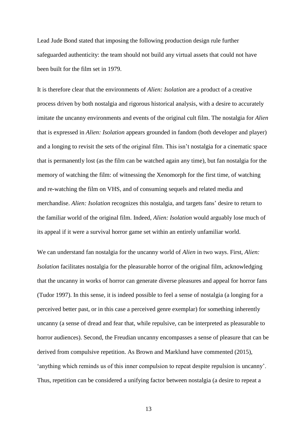Lead Jude Bond stated that imposing the following production design rule further safeguarded authenticity: the team should not build any virtual assets that could not have been built for the film set in 1979.

It is therefore clear that the environments of *Alien: Isolation* are a product of a creative process driven by both nostalgia and rigorous historical analysis, with a desire to accurately imitate the uncanny environments and events of the original cult film. The nostalgia for *Alien* that is expressed in *Alien: Isolation* appears grounded in fandom (both developer and player) and a longing to revisit the sets of the original film. This isn't nostalgia for a cinematic space that is permanently lost (as the film can be watched again any time), but fan nostalgia for the memory of watching the film: of witnessing the Xenomorph for the first time, of watching and re-watching the film on VHS, and of consuming sequels and related media and merchandise. *Alien: Isolation* recognizes this nostalgia, and targets fans' desire to return to the familiar world of the original film. Indeed, *Alien: Isolation* would arguably lose much of its appeal if it were a survival horror game set within an entirely unfamiliar world.

We can understand fan nostalgia for the uncanny world of *Alien* in two ways. First, *Alien*: *Isolation* facilitates nostalgia for the pleasurable horror of the original film, acknowledging that the uncanny in works of horror can generate diverse pleasures and appeal for horror fans (Tudor 1997). In this sense, it is indeed possible to feel a sense of nostalgia (a longing for a perceived better past, or in this case a perceived genre exemplar) for something inherently uncanny (a sense of dread and fear that, while repulsive, can be interpreted as pleasurable to horror audiences). Second, the Freudian uncanny encompasses a sense of pleasure that can be derived from compulsive repetition. As Brown and Marklund have commented (2015), 'anything which reminds us of this inner compulsion to repeat despite repulsion is uncanny'. Thus, repetition can be considered a unifying factor between nostalgia (a desire to repeat a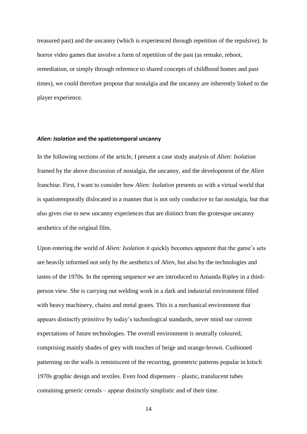treasured past) and the uncanny (which is experienced through repetition of the repulsive). In horror video games that involve a form of repetition of the past (as remake, reboot, remediation, or simply through reference to shared concepts of childhood homes and past times), we could therefore propose that nostalgia and the uncanny are inherently linked to the player experience.

### *Alien: Isolation* **and the spatiotemporal uncanny**

In the following sections of the article, I present a case study analysis of *Alien: Isolation* framed by the above discussion of nostalgia, the uncanny, and the development of the *Alien* franchise. First, I want to consider how *Alien: Isolation* presents us with a virtual world that is spatiotemporally dislocated in a manner that is not only conducive to fan nostalgia, but that also gives rise to new uncanny experiences that are distinct from the grotesque uncanny aesthetics of the original film.

Upon entering the world of *Alien: Isolation* it quickly becomes apparent that the game's sets are heavily informed not only by the aesthetics of *Alien*, but also by the technologies and tastes of the 1970s. In the opening sequence we are introduced to Amanda Ripley in a thirdperson view. She is carrying out welding work in a dark and industrial environment filled with heavy machinery, chains and metal grates. This is a mechanical environment that appears distinctly primitive by today's technological standards, never mind our current expectations of future technologies. The overall environment is neutrally coloured, comprising mainly shades of grey with touches of beige and orange-brown. Cushioned patterning on the walls is reminiscent of the recurring, geometric patterns popular in kitsch 1970s graphic design and textiles. Even food dispensers – plastic, translucent tubes containing generic cereals – appear distinctly simplistic and of their time.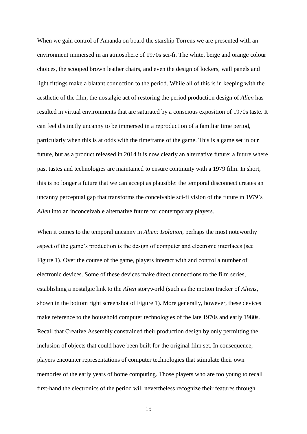When we gain control of Amanda on board the starship Torrens we are presented with an environment immersed in an atmosphere of 1970s sci-fi. The white, beige and orange colour choices, the scooped brown leather chairs, and even the design of lockers, wall panels and light fittings make a blatant connection to the period. While all of this is in keeping with the aesthetic of the film, the nostalgic act of restoring the period production design of *Alien* has resulted in virtual environments that are saturated by a conscious exposition of 1970s taste. It can feel distinctly uncanny to be immersed in a reproduction of a familiar time period, particularly when this is at odds with the timeframe of the game. This is a game set in our future, but as a product released in 2014 it is now clearly an alternative future: a future where past tastes and technologies are maintained to ensure continuity with a 1979 film. In short, this is no longer a future that we can accept as plausible: the temporal disconnect creates an uncanny perceptual gap that transforms the conceivable sci-fi vision of the future in 1979's *Alien* into an inconceivable alternative future for contemporary players.

When it comes to the temporal uncanny in *Alien: Isolation*, perhaps the most noteworthy aspect of the game's production is the design of computer and electronic interfaces (see Figure 1). Over the course of the game, players interact with and control a number of electronic devices. Some of these devices make direct connections to the film series, establishing a nostalgic link to the *Alien* storyworld (such as the motion tracker of *Aliens*, shown in the bottom right screenshot of Figure 1). More generally, however, these devices make reference to the household computer technologies of the late 1970s and early 1980s. Recall that Creative Assembly constrained their production design by only permitting the inclusion of objects that could have been built for the original film set. In consequence, players encounter representations of computer technologies that stimulate their own memories of the early years of home computing. Those players who are too young to recall first-hand the electronics of the period will nevertheless recognize their features through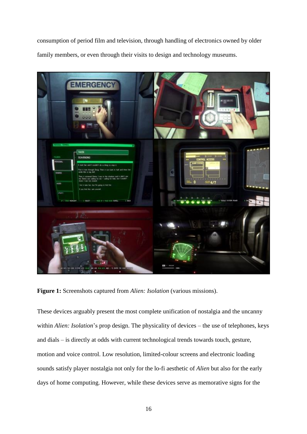consumption of period film and television, through handling of electronics owned by older family members, or even through their visits to design and technology museums.



**Figure 1:** Screenshots captured from *Alien: Isolation* (various missions).

These devices arguably present the most complete unification of nostalgia and the uncanny within *Alien: Isolation*'s prop design. The physicality of devices – the use of telephones, keys and dials – is directly at odds with current technological trends towards touch, gesture, motion and voice control. Low resolution, limited-colour screens and electronic loading sounds satisfy player nostalgia not only for the lo-fi aesthetic of *Alien* but also for the early days of home computing. However, while these devices serve as memorative signs for the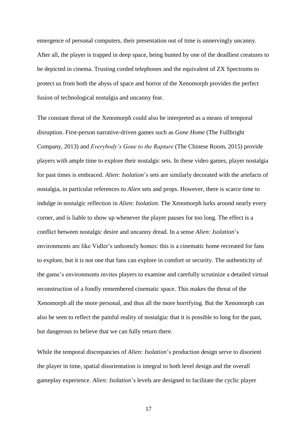emergence of personal computers, their presentation out of time is unnervingly uncanny. After all, the player is trapped in deep space, being hunted by one of the deadliest creatures to be depicted in cinema. Trusting corded telephones and the equivalent of ZX Spectrums to protect us from both the abyss of space and horror of the Xenomorph provides the perfect fusion of technological nostalgia and uncanny fear.

The constant threat of the Xenomorph could also be interpreted as a means of temporal disruption. First-person narrative-driven games such as *Gone Home* (The Fullbright Company, 2013) and *Everybody's Gone to the Rapture* (The Chinese Room, 2015) provide players with ample time to explore their nostalgic sets. In these video games, player nostalgia for past times is embraced. *Alien: Isolation*'s sets are similarly decorated with the artefacts of nostalgia, in particular references to *Alien* sets and props. However, there is scarce time to indulge in nostalgic reflection in *Alien: Isolation*. The Xenomorph lurks around nearly every corner, and is liable to show up whenever the player pauses for too long. The effect is a conflict between nostalgic desire and uncanny dread. In a sense *Alien: Isolation*'s environments are like Vidler's unhomely homes: this is a cinematic home recreated for fans to explore, but it is not one that fans can explore in comfort or security. The authenticity of the game's environments invites players to examine and carefully scrutinize a detailed virtual reconstruction of a fondly remembered cinematic space. This makes the threat of the Xenomorph all the more personal, and thus all the more horrifying. But the Xenomorph can also be seen to reflect the painful reality of nostalgia: that it is possible to long for the past, but dangerous to believe that we can fully return there.

While the temporal discrepancies of *Alien: Isolation*'s production design serve to disorient the player in time, spatial disorientation is integral to both level design and the overall gameplay experience. *Alien: Isolation*'s levels are designed to facilitate the cyclic player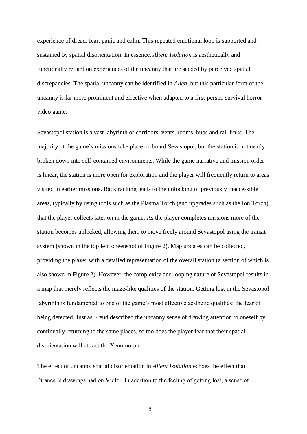experience of dread, fear, panic and calm. This repeated emotional loop is supported and sustained by spatial disorientation. In essence, *Alien: Isolation* is aesthetically and functionally reliant on experiences of the uncanny that are seeded by perceived spatial discrepancies. The spatial uncanny can be identified in *Alien*, but this particular form of the uncanny is far more prominent and effective when adapted to a first-person survival horror video game.

Sevastopol station is a vast labyrinth of corridors, vents, rooms, hubs and rail links. The majority of the game's missions take place on board Sevastopol, but the station is not neatly broken down into self-contained environments. While the game narrative and mission order is linear, the station is more open for exploration and the player will frequently return to areas visited in earlier missions. Backtracking leads to the unlocking of previously inaccessible areas, typically by using tools such as the Plasma Torch (and upgrades such as the Ion Torch) that the player collects later on in the game. As the player completes missions more of the station becomes unlocked, allowing them to move freely around Sevastopol using the transit system (shown in the top left screenshot of Figure 2). Map updates can be collected, providing the player with a detailed representation of the overall station (a section of which is also shown in Figure 2). However, the complexity and looping nature of Sevastopol results in a map that merely reflects the maze-like qualities of the station. Getting lost in the Sevastopol labyrinth is fundamental to one of the game's most effective aesthetic qualities: the fear of being detected. Just as Freud described the uncanny sense of drawing attention to oneself by continually returning to the same places, so too does the player fear that their spatial disorientation will attract the Xenomorph.

The effect of uncanny spatial disorientation in *Alien: Isolation* echoes the effect that Piranesi's drawings had on Vidler. In addition to the feeling of getting lost, a sense of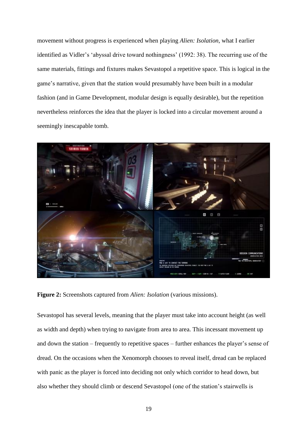movement without progress is experienced when playing *Alien: Isolation*, what I earlier identified as Vidler's 'abyssal drive toward nothingness' (1992: 38). The recurring use of the same materials, fittings and fixtures makes Sevastopol a repetitive space. This is logical in the game's narrative, given that the station would presumably have been built in a modular fashion (and in Game Development, modular design is equally desirable), but the repetition nevertheless reinforces the idea that the player is locked into a circular movement around a seemingly inescapable tomb.



**Figure 2:** Screenshots captured from *Alien: Isolation* (various missions).

Sevastopol has several levels, meaning that the player must take into account height (as well as width and depth) when trying to navigate from area to area. This incessant movement up and down the station – frequently to repetitive spaces – further enhances the player's sense of dread. On the occasions when the Xenomorph chooses to reveal itself, dread can be replaced with panic as the player is forced into deciding not only which corridor to head down, but also whether they should climb or descend Sevastopol (one of the station's stairwells is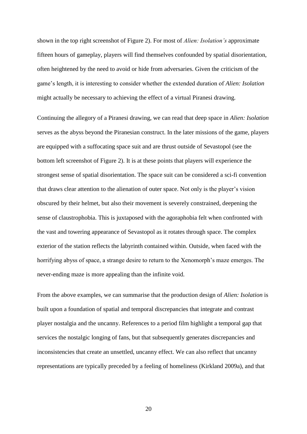shown in the top right screenshot of Figure 2). For most of *Alien: Isolation's* approximate fifteen hours of gameplay, players will find themselves confounded by spatial disorientation, often heightened by the need to avoid or hide from adversaries. Given the criticism of the game's length, it is interesting to consider whether the extended duration of *Alien: Isolation* might actually be necessary to achieving the effect of a virtual Piranesi drawing.

Continuing the allegory of a Piranesi drawing, we can read that deep space in *Alien: Isolation*  serves as the abyss beyond the Piranesian construct. In the later missions of the game, players are equipped with a suffocating space suit and are thrust outside of Sevastopol (see the bottom left screenshot of Figure 2). It is at these points that players will experience the strongest sense of spatial disorientation. The space suit can be considered a sci-fi convention that draws clear attention to the alienation of outer space. Not only is the player's vision obscured by their helmet, but also their movement is severely constrained, deepening the sense of claustrophobia. This is juxtaposed with the agoraphobia felt when confronted with the vast and towering appearance of Sevastopol as it rotates through space. The complex exterior of the station reflects the labyrinth contained within. Outside, when faced with the horrifying abyss of space, a strange desire to return to the Xenomorph's maze emerges. The never-ending maze is more appealing than the infinite void.

From the above examples, we can summarise that the production design of *Alien: Isolation* is built upon a foundation of spatial and temporal discrepancies that integrate and contrast player nostalgia and the uncanny. References to a period film highlight a temporal gap that services the nostalgic longing of fans, but that subsequently generates discrepancies and inconsistencies that create an unsettled, uncanny effect. We can also reflect that uncanny representations are typically preceded by a feeling of homeliness (Kirkland 2009a), and that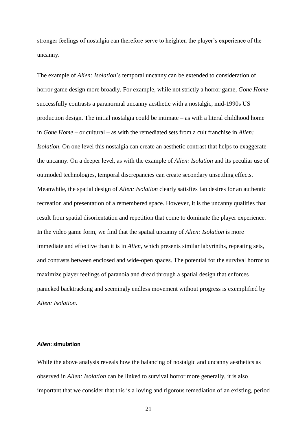stronger feelings of nostalgia can therefore serve to heighten the player's experience of the uncanny.

The example of *Alien: Isolation*'s temporal uncanny can be extended to consideration of horror game design more broadly. For example, while not strictly a horror game, *Gone Home* successfully contrasts a paranormal uncanny aesthetic with a nostalgic, mid-1990s US production design. The initial nostalgia could be intimate – as with a literal childhood home in *Gone Home* – or cultural – as with the remediated sets from a cult franchise in *Alien: Isolation*. On one level this nostalgia can create an aesthetic contrast that helps to exaggerate the uncanny. On a deeper level, as with the example of *Alien: Isolation* and its peculiar use of outmoded technologies, temporal discrepancies can create secondary unsettling effects. Meanwhile, the spatial design of *Alien: Isolation* clearly satisfies fan desires for an authentic recreation and presentation of a remembered space. However, it is the uncanny qualities that result from spatial disorientation and repetition that come to dominate the player experience. In the video game form, we find that the spatial uncanny of *Alien: Isolation* is more immediate and effective than it is in *Alien*, which presents similar labyrinths, repeating sets, and contrasts between enclosed and wide-open spaces. The potential for the survival horror to maximize player feelings of paranoia and dread through a spatial design that enforces panicked backtracking and seemingly endless movement without progress is exemplified by *Alien: Isolation*.

# *Alien***: simulation**

While the above analysis reveals how the balancing of nostalgic and uncanny aesthetics as observed in *Alien: Isolation* can be linked to survival horror more generally, it is also important that we consider that this is a loving and rigorous remediation of an existing, period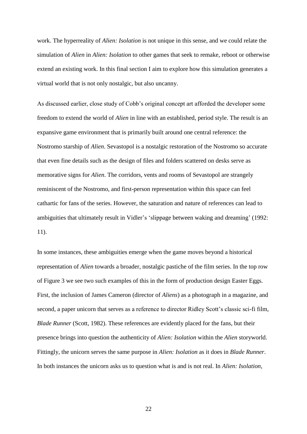work. The hyperreality of *Alien: Isolation* is not unique in this sense, and we could relate the simulation of *Alien* in *Alien: Isolation* to other games that seek to remake, reboot or otherwise extend an existing work. In this final section I aim to explore how this simulation generates a virtual world that is not only nostalgic, but also uncanny.

As discussed earlier, close study of Cobb's original concept art afforded the developer some freedom to extend the world of *Alien* in line with an established, period style. The result is an expansive game environment that is primarily built around one central reference: the Nostromo starship of *Alien*. Sevastopol is a nostalgic restoration of the Nostromo so accurate that even fine details such as the design of files and folders scattered on desks serve as memorative signs for *Alien*. The corridors, vents and rooms of Sevastopol are strangely reminiscent of the Nostromo, and first-person representation within this space can feel cathartic for fans of the series. However, the saturation and nature of references can lead to ambiguities that ultimately result in Vidler's 'slippage between waking and dreaming' (1992: 11).

In some instances, these ambiguities emerge when the game moves beyond a historical representation of *Alien* towards a broader, nostalgic pastiche of the film series. In the top row of Figure 3 we see two such examples of this in the form of production design Easter Eggs. First, the inclusion of James Cameron (director of *Aliens*) as a photograph in a magazine, and second, a paper unicorn that serves as a reference to director Ridley Scott's classic sci-fi film, *Blade Runner* (Scott, 1982). These references are evidently placed for the fans, but their presence brings into question the authenticity of *Alien: Isolation* within the *Alien* storyworld. Fittingly, the unicorn serves the same purpose in *Alien: Isolation* as it does in *Blade Runner*. In both instances the unicorn asks us to question what is and is not real. In *Alien: Isolation*,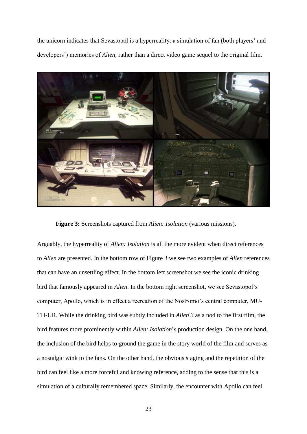the unicorn indicates that Sevastopol is a hyperreality: a simulation of fan (both players' and developers') memories of *Alien*, rather than a direct video game sequel to the original film.



**Figure 3:** Screenshots captured from *Alien: Isolation* (various missions).

Arguably, the hyperreality of *Alien: Isolation* is all the more evident when direct references to *Alien* are presented. In the bottom row of Figure 3 we see two examples of *Alien* references that can have an unsettling effect. In the bottom left screenshot we see the iconic drinking bird that famously appeared in *Alien*. In the bottom right screenshot, we see Sevastopol's computer, Apollo, which is in effect a recreation of the Nostromo's central computer, MU-TH-UR. While the drinking bird was subtly included in *Alien 3* as a nod to the first film, the bird features more prominently within *Alien: Isolation*'s production design. On the one hand, the inclusion of the bird helps to ground the game in the story world of the film and serves as a nostalgic wink to the fans. On the other hand, the obvious staging and the repetition of the bird can feel like a more forceful and knowing reference, adding to the sense that this is a simulation of a culturally remembered space. Similarly, the encounter with Apollo can feel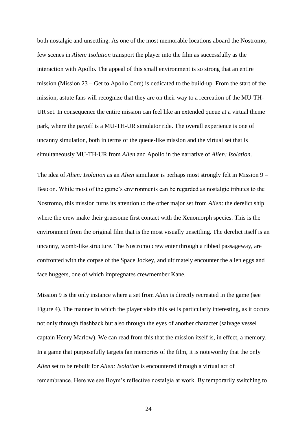both nostalgic and unsettling. As one of the most memorable locations aboard the Nostromo, few scenes in *Alien: Isolation* transport the player into the film as successfully as the interaction with Apollo. The appeal of this small environment is so strong that an entire mission (Mission 23 – Get to Apollo Core) is dedicated to the build-up. From the start of the mission, astute fans will recognize that they are on their way to a recreation of the MU-TH-UR set. In consequence the entire mission can feel like an extended queue at a virtual theme park, where the payoff is a MU-TH-UR simulator ride. The overall experience is one of uncanny simulation, both in terms of the queue-like mission and the virtual set that is simultaneously MU-TH-UR from *Alien* and Apollo in the narrative of *Alien: Isolation*.

The idea of *Alien: Isolation* as an *Alien* simulator is perhaps most strongly felt in Mission 9 – Beacon. While most of the game's environments can be regarded as nostalgic tributes to the Nostromo, this mission turns its attention to the other major set from *Alien*: the derelict ship where the crew make their gruesome first contact with the Xenomorph species. This is the environment from the original film that is the most visually unsettling. The derelict itself is an uncanny, womb-like structure. The Nostromo crew enter through a ribbed passageway, are confronted with the corpse of the Space Jockey, and ultimately encounter the alien eggs and face huggers, one of which impregnates crewmember Kane.

Mission 9 is the only instance where a set from *Alien* is directly recreated in the game (see Figure 4). The manner in which the player visits this set is particularly interesting, as it occurs not only through flashback but also through the eyes of another character (salvage vessel captain Henry Marlow). We can read from this that the mission itself is, in effect, a memory. In a game that purposefully targets fan memories of the film, it is noteworthy that the only *Alien* set to be rebuilt for *Alien: Isolation* is encountered through a virtual act of remembrance. Here we see Boym's reflective nostalgia at work. By temporarily switching to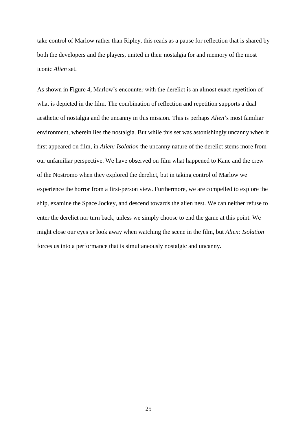take control of Marlow rather than Ripley, this reads as a pause for reflection that is shared by both the developers and the players, united in their nostalgia for and memory of the most iconic *Alien* set.

As shown in Figure 4, Marlow's encounter with the derelict is an almost exact repetition of what is depicted in the film. The combination of reflection and repetition supports a dual aesthetic of nostalgia and the uncanny in this mission. This is perhaps *Alien*'s most familiar environment, wherein lies the nostalgia. But while this set was astonishingly uncanny when it first appeared on film, in *Alien: Isolation* the uncanny nature of the derelict stems more from our unfamiliar perspective. We have observed on film what happened to Kane and the crew of the Nostromo when they explored the derelict, but in taking control of Marlow we experience the horror from a first-person view. Furthermore, we are compelled to explore the ship, examine the Space Jockey, and descend towards the alien nest. We can neither refuse to enter the derelict nor turn back, unless we simply choose to end the game at this point. We might close our eyes or look away when watching the scene in the film, but *Alien: Isolation* forces us into a performance that is simultaneously nostalgic and uncanny.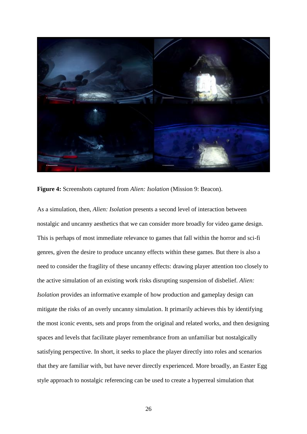

**Figure 4:** Screenshots captured from *Alien: Isolation* (Mission 9: Beacon).

As a simulation, then, *Alien: Isolation* presents a second level of interaction between nostalgic and uncanny aesthetics that we can consider more broadly for video game design. This is perhaps of most immediate relevance to games that fall within the horror and sci-fi genres, given the desire to produce uncanny effects within these games. But there is also a need to consider the fragility of these uncanny effects: drawing player attention too closely to the active simulation of an existing work risks disrupting suspension of disbelief. *Alien: Isolation* provides an informative example of how production and gameplay design can mitigate the risks of an overly uncanny simulation. It primarily achieves this by identifying the most iconic events, sets and props from the original and related works, and then designing spaces and levels that facilitate player remembrance from an unfamiliar but nostalgically satisfying perspective. In short, it seeks to place the player directly into roles and scenarios that they are familiar with, but have never directly experienced. More broadly, an Easter Egg style approach to nostalgic referencing can be used to create a hyperreal simulation that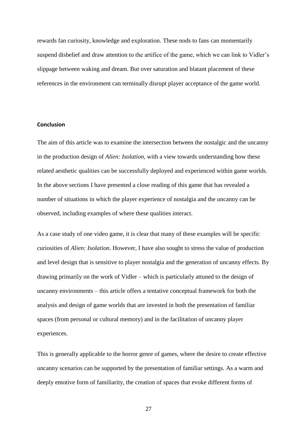rewards fan curiosity, knowledge and exploration. These nods to fans can momentarily suspend disbelief and draw attention to the artifice of the game, which we can link to Vidler's slippage between waking and dream. But over saturation and blatant placement of these references in the environment can terminally disrupt player acceptance of the game world.

## **Conclusion**

The aim of this article was to examine the intersection between the nostalgic and the uncanny in the production design of *Alien: Isolation*, with a view towards understanding how these related aesthetic qualities can be successfully deployed and experienced within game worlds. In the above sections I have presented a close reading of this game that has revealed a number of situations in which the player experience of nostalgia and the uncanny can be observed, including examples of where these qualities interact.

As a case study of one video game, it is clear that many of these examples will be specific curiosities of *Alien: Isolation*. However, I have also sought to stress the value of production and level design that is sensitive to player nostalgia and the generation of uncanny effects. By drawing primarily on the work of Vidler – which is particularly attuned to the design of uncanny environments – this article offers a tentative conceptual framework for both the analysis and design of game worlds that are invested in both the presentation of familiar spaces (from personal or cultural memory) and in the facilitation of uncanny player experiences.

This is generally applicable to the horror genre of games, where the desire to create effective uncanny scenarios can be supported by the presentation of familiar settings. As a warm and deeply emotive form of familiarity, the creation of spaces that evoke different forms of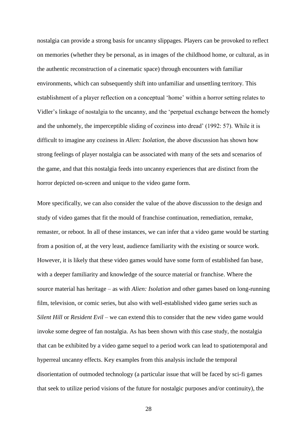nostalgia can provide a strong basis for uncanny slippages. Players can be provoked to reflect on memories (whether they be personal, as in images of the childhood home, or cultural, as in the authentic reconstruction of a cinematic space) through encounters with familiar environments, which can subsequently shift into unfamiliar and unsettling territory. This establishment of a player reflection on a conceptual 'home' within a horror setting relates to Vidler's linkage of nostalgia to the uncanny, and the 'perpetual exchange between the homely and the unhomely, the imperceptible sliding of coziness into dread' (1992: 57). While it is difficult to imagine any coziness in *Alien: Isolation*, the above discussion has shown how strong feelings of player nostalgia can be associated with many of the sets and scenarios of the game, and that this nostalgia feeds into uncanny experiences that are distinct from the horror depicted on-screen and unique to the video game form.

More specifically, we can also consider the value of the above discussion to the design and study of video games that fit the mould of franchise continuation, remediation, remake, remaster, or reboot. In all of these instances, we can infer that a video game would be starting from a position of, at the very least, audience familiarity with the existing or source work. However, it is likely that these video games would have some form of established fan base, with a deeper familiarity and knowledge of the source material or franchise. Where the source material has heritage – as with *Alien: Isolation* and other games based on long-running film, television, or comic series, but also with well-established video game series such as *Silent Hill* or *Resident Evil* – we can extend this to consider that the new video game would invoke some degree of fan nostalgia. As has been shown with this case study, the nostalgia that can be exhibited by a video game sequel to a period work can lead to spatiotemporal and hyperreal uncanny effects. Key examples from this analysis include the temporal disorientation of outmoded technology (a particular issue that will be faced by sci-fi games that seek to utilize period visions of the future for nostalgic purposes and/or continuity), the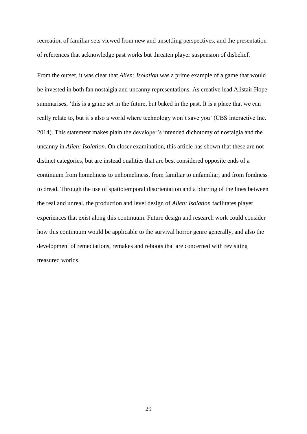recreation of familiar sets viewed from new and unsettling perspectives, and the presentation of references that acknowledge past works but threaten player suspension of disbelief.

From the outset, it was clear that *Alien: Isolation* was a prime example of a game that would be invested in both fan nostalgia and uncanny representations. As creative lead Alistair Hope summarises, 'this is a game set in the future, but baked in the past. It is a place that we can really relate to, but it's also a world where technology won't save you' (CBS Interactive Inc. 2014). This statement makes plain the developer's intended dichotomy of nostalgia and the uncanny in *Alien: Isolation*. On closer examination, this article has shown that these are not distinct categories, but are instead qualities that are best considered opposite ends of a continuum from homeliness to unhomeliness, from familiar to unfamiliar, and from fondness to dread. Through the use of spatiotemporal disorientation and a blurring of the lines between the real and unreal, the production and level design of *Alien: Isolation* facilitates player experiences that exist along this continuum. Future design and research work could consider how this continuum would be applicable to the survival horror genre generally, and also the development of remediations, remakes and reboots that are concerned with revisiting treasured worlds.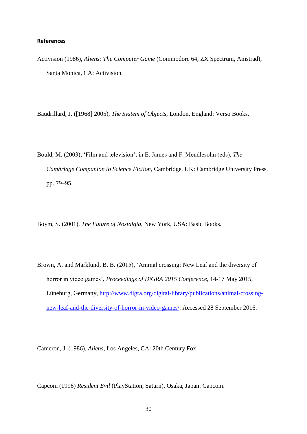## **References**

Activision (1986), *Aliens: The Computer Game* (Commodore 64, ZX Spectrum, Amstrad), Santa Monica, CA: Activision.

Baudrillard, J. ([1968] 2005), *The System of Objects*, London, England: Verso Books.

- Bould, M. (2003), 'Film and television', in E. James and F. Mendlesohn (eds), *The Cambridge Companion to Science Fiction*, Cambridge, UK: Cambridge University Press, pp. 79–95.
- Boym, S. (2001), *The Future of Nostalgia*, New York, USA: Basic Books.
- Brown, A. and Marklund, B. B. (2015), 'Animal crossing: New Leaf and the diversity of horror in video games', *Proceedings of DiGRA 2015 Conference*, 14-17 May 2015, Lüneburg, Germany, [http://www.digra.org/digital-library/publications/animal-crossing](http://www.digra.org/digital-library/publications/animal-crossing-new-leaf-and-the-diversity-of-horror-in-video-games/)[new-leaf-and-the-diversity-of-horror-in-video-games/.](http://www.digra.org/digital-library/publications/animal-crossing-new-leaf-and-the-diversity-of-horror-in-video-games/) Accessed 28 September 2016.

Cameron, J. (1986), *Aliens*, Los Angeles, CA: 20th Century Fox.

Capcom (1996) *Resident Evil* (PlayStation, Saturn), Osaka, Japan: Capcom.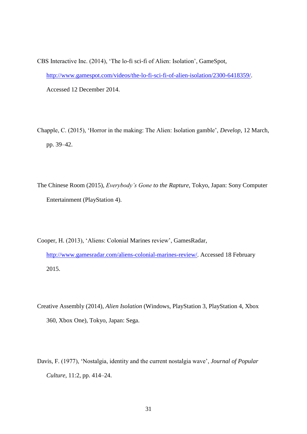CBS Interactive Inc. (2014), 'The lo-fi sci-fi of Alien: Isolation', GameSpot, [http://www.gamespot.com/videos/the-lo-fi-sci-fi-of-alien-isolation/2300-6418359/.](http://www.gamespot.com/videos/the-lo-fi-sci-fi-of-alien-isolation/2300-6418359/) Accessed 12 December 2014.

- Chapple, C. (2015), 'Horror in the making: The Alien: Isolation gamble', *Develop*, 12 March, pp. 39–42.
- The Chinese Room (2015), *Everybody's Gone to the Rapture*, Tokyo, Japan: Sony Computer Entertainment (PlayStation 4).
- Cooper, H. (2013), 'Aliens: Colonial Marines review', GamesRadar, [http://www.gamesradar.com/aliens-colonial-marines-review/.](http://www.gamesradar.com/aliens-colonial-marines-review/) Accessed 18 February 2015.
- Creative Assembly (2014), *Alien Isolation* (Windows, PlayStation 3, PlayStation 4, Xbox 360, Xbox One), Tokyo, Japan: Sega.
- Davis, F. (1977), 'Nostalgia, identity and the current nostalgia wave', *Journal of Popular Culture*, 11:2, pp. 414–24.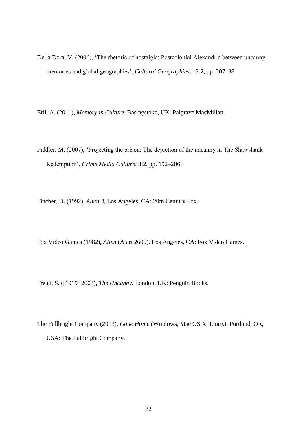Della Dora, V. (2006), 'The rhetoric of nostalgia: Postcolonial Alexandria between uncanny memories and global geographies', *Cultural Geographies*, 13:2, pp. 207–38.

Erll, A. (2011), *Memory in Culture*, Basingstoke, UK: Palgrave MacMillan.

Fiddler, M. (2007), 'Projecting the prison: The depiction of the uncanny in The Shawshank Redemption', *Crime Media Culture*, 3:2, pp. 192–206.

Fincher, D. (1992), *Alien 3*, Los Angeles, CA: 20tn Century Fox.

Fox Video Games (1982), *Alien* (Atari 2600), Los Angeles, CA: Fox Video Games.

Freud, S. ([1919] 2003), *The Uncanny*, London, UK: Penguin Books.

The Fullbright Company (2013), *Gone Home* (Windows, Mac OS X, Linux), Portland, OR, USA: The Fullbright Company.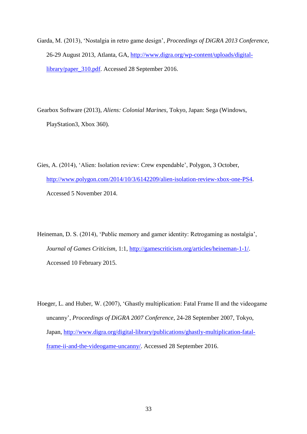Garda, M. (2013), 'Nostalgia in retro game design', *Proceedings of DiGRA 2013 Conference*, 26-29 August 2013, Atlanta, GA, [http://www.digra.org/wp-content/uploads/digital](http://www.digra.org/wp-content/uploads/digital-library/paper_310.pdf)[library/paper\\_310.pdf.](http://www.digra.org/wp-content/uploads/digital-library/paper_310.pdf) Accessed 28 September 2016.

Gearbox Software (2013), *Aliens: Colonial Marines*, Tokyo, Japan: Sega (Windows, PlayStation3, Xbox 360).

- Gies, A. (2014), 'Alien: Isolation review: Crew expendable', Polygon, 3 October, [http://www.polygon.com/2014/10/3/6142209/alien-isolation-review-xbox-one-PS4.](http://www.polygon.com/2014/10/3/6142209/alien-isolation-review-xbox-one-PS4) Accessed 5 November 2014.
- Heineman, D. S. (2014), 'Public memory and gamer identity: Retrogaming as nostalgia', *Journal of Games Criticism*, 1:1, [http://gamescriticism.org/articles/heineman-1-1/.](http://gamescriticism.org/articles/heineman-1-1/) Accessed 10 February 2015.
- Hoeger, L. and Huber, W. (2007), 'Ghastly multiplication: Fatal Frame II and the videogame uncanny', *Proceedings of DiGRA 2007 Conference*, 24-28 September 2007, Tokyo, Japan, [http://www.digra.org/digital-library/publications/ghastly-multiplication-fatal](http://www.digra.org/digital-library/publications/ghastly-multiplication-fatal-frame-ii-and-the-videogame-uncanny/)[frame-ii-and-the-videogame-uncanny/.](http://www.digra.org/digital-library/publications/ghastly-multiplication-fatal-frame-ii-and-the-videogame-uncanny/) Accessed 28 September 2016.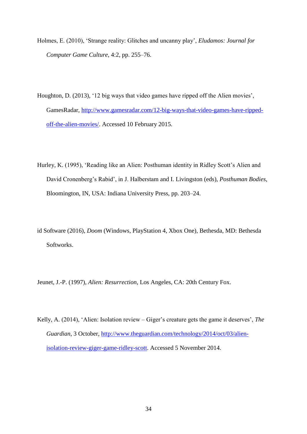- Holmes, E. (2010), 'Strange reality: Glitches and uncanny play', *Eludamos: Journal for Computer Game Culture*, 4:2, pp. 255–76.
- Houghton, D. (2013), '12 big ways that video games have ripped off the Alien movies', GamesRadar, [http://www.gamesradar.com/12-big-ways-that-video-games-have-ripped](http://www.gamesradar.com/12-big-ways-that-video-games-have-ripped-off-the-alien-movies/)[off-the-alien-movies/.](http://www.gamesradar.com/12-big-ways-that-video-games-have-ripped-off-the-alien-movies/) Accessed 10 February 2015.
- Hurley, K. (1995), 'Reading like an Alien: Posthuman identity in Ridley Scott's Alien and David Cronenberg's Rabid', in J. Halberstam and I. Livingston (eds), *Posthuman Bodies*, Bloomington, IN, USA: Indiana University Press, pp. 203–24.
- id Software (2016), *Doom* (Windows, PlayStation 4, Xbox One), Bethesda, MD: Bethesda Softworks.
- Jeunet, J.-P. (1997), *Alien: Resurrection*, Los Angeles, CA: 20th Century Fox.
- Kelly, A. (2014), 'Alien: Isolation review Giger's creature gets the game it deserves', *The Guardian*, 3 October, [http://www.theguardian.com/technology/2014/oct/03/alien](http://www.theguardian.com/technology/2014/oct/03/alien-isolation-review-giger-game-ridley-scott)[isolation-review-giger-game-ridley-scott.](http://www.theguardian.com/technology/2014/oct/03/alien-isolation-review-giger-game-ridley-scott) Accessed 5 November 2014.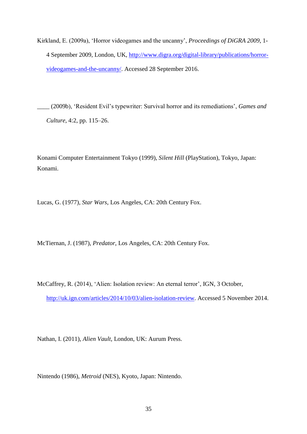Kirkland, E. (2009a), 'Horror videogames and the uncanny', *Proceedings of DiGRA 2009*, 1- 4 September 2009, London, UK, [http://www.digra.org/digital-library/publications/horror](http://www.digra.org/digital-library/publications/horror-videogames-and-the-uncanny/)[videogames-and-the-uncanny/.](http://www.digra.org/digital-library/publications/horror-videogames-and-the-uncanny/) Accessed 28 September 2016.

\_\_\_\_ (2009b), 'Resident Evil's typewriter: Survival horror and its remediations', *Games and Culture*, 4:2, pp. 115–26.

Konami Computer Entertainment Tokyo (1999), *Silent Hill* (PlayStation), Tokyo, Japan: Konami.

Lucas, G. (1977), *Star Wars*, Los Angeles, CA: 20th Century Fox.

McTiernan, J. (1987), *Predator*, Los Angeles, CA: 20th Century Fox.

McCaffrey, R. (2014), 'Alien: Isolation review: An eternal terror', IGN, 3 October, [http://uk.ign.com/articles/2014/10/03/alien-isolation-review.](http://uk.ign.com/articles/2014/10/03/alien-isolation-review) Accessed 5 November 2014.

Nathan, I. (2011), *Alien Vault*, London, UK: Aurum Press.

Nintendo (1986), *Metroid* (NES), Kyoto, Japan: Nintendo.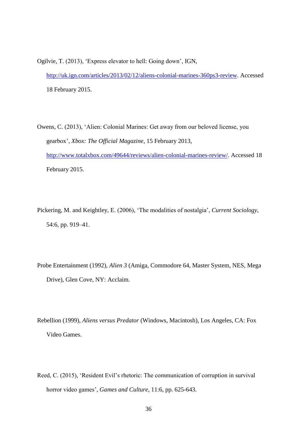Ogilvie, T. (2013), 'Express elevator to hell: Going down', IGN, [http://uk.ign.com/articles/2013/02/12/aliens-colonial-marines-360ps3-review.](http://uk.ign.com/articles/2013/02/12/aliens-colonial-marines-360ps3-review) Accessed 18 February 2015.

- Owens, C. (2013), 'Alien: Colonial Marines: Get away from our beloved license, you gearbox', *Xbox: The Official Magazine*, 15 February 2013, [http://www.totalxbox.com/49644/reviews/alien-colonial-marines-review/.](http://www.totalxbox.com/49644/reviews/alien-colonial-marines-review/) Accessed 18 February 2015.
- Pickering, M. and Keightley, E. (2006), 'The modalities of nostalgia', *Current Sociology*, 54:6, pp. 919–41.
- Probe Entertainment (1992), *Alien 3* (Amiga, Commodore 64, Master System, NES, Mega Drive), Glen Cove, NY: Acclaim.
- Rebellion (1999), *Aliens versus Predator* (Windows, Macintosh), Los Angeles, CA: Fox Video Games.
- Reed, C. (2015), 'Resident Evil's rhetoric: The communication of corruption in survival horror video games', *Games and Culture*, 11:6, pp. 625-643.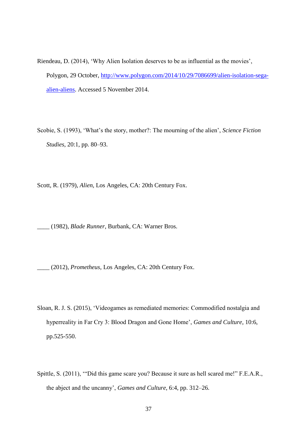- Riendeau, D. (2014), 'Why Alien Isolation deserves to be as influential as the movies', Polygon, 29 October, [http://www.polygon.com/2014/10/29/7086699/alien-isolation-sega](http://www.polygon.com/2014/10/29/7086699/alien-isolation-sega-alien-aliens)[alien-aliens.](http://www.polygon.com/2014/10/29/7086699/alien-isolation-sega-alien-aliens) Accessed 5 November 2014.
- Scobie, S. (1993), 'What's the story, mother?: The mourning of the alien', *Science Fiction Studies*, 20:1, pp. 80–93.

Scott, R. (1979), *Alien*, Los Angeles, CA: 20th Century Fox.

\_\_\_\_ (1982), *Blade Runner*, Burbank, CA: Warner Bros.

\_\_\_\_ (2012), *Prometheus*, Los Angeles, CA: 20th Century Fox.

- Sloan, R. J. S. (2015), 'Videogames as remediated memories: Commodified nostalgia and hyperreality in Far Cry 3: Blood Dragon and Gone Home', *Games and Culture*, 10:6, pp.525-550.
- Spittle, S. (2011), '"Did this game scare you? Because it sure as hell scared me!" F.E.A.R., the abject and the uncanny', *Games and Culture*, 6:4, pp. 312–26.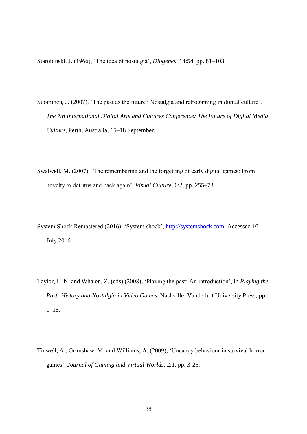Starobinski, J. (1966), 'The idea of nostalgia', *Diogenes*, 14:54, pp. 81–103.

- Suominen, J. (2007), 'The past as the future? Nostalgia and retrogaming in digital culture', *The 7th International Digital Arts and Cultures Conference: The Future of Digital Media Culture*, Perth, Australia, 15–18 September.
- Swalwell, M. (2007), 'The remembering and the forgetting of early digital games: From novelty to detritus and back again', *Visual Culture*, 6:2, pp. 255–73.
- System Shock Remastered (2016), 'System shock', [http://systemshock.com.](http://systemshock.com/) Accessed 16 July 2016.
- Taylor, L. N. and Whalen, Z. (eds) (2008), 'Playing the past: An introduction', in *Playing the Past: History and Nostalgia in Video Games*, Nashville: Vanderbilt University Press, pp.  $1-15.$
- Tinwell, A., Grimshaw, M. and Williams, A. (2009), 'Uncanny behaviour in survival horror games', *Journal of Gaming and Virtual Worlds*, 2:1, pp. 3-25.